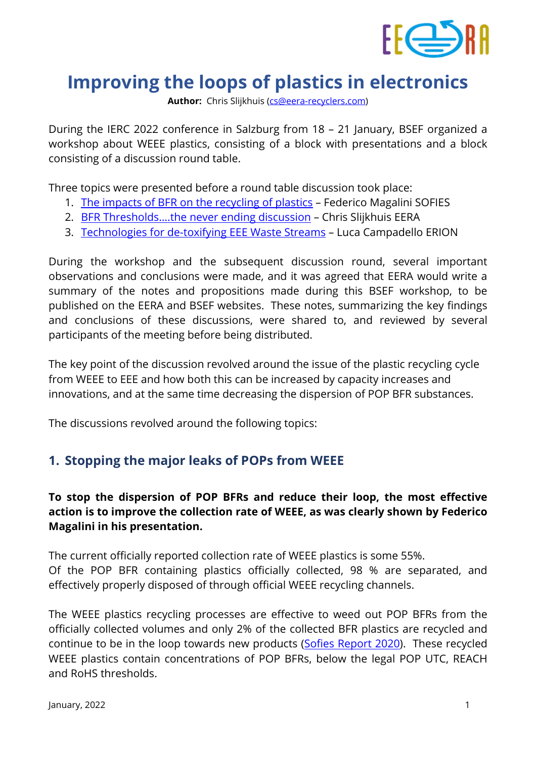

# **Improving the loops of plastics in electronics**

**Author:** Chris Slijkhuis [\(cs@eera-recyclers.com\)](mailto:cs@eera-recyclers.com)

During the IERC 2022 conference in Salzburg from 18 – 21 January, BSEF organized a workshop about WEEE plastics, consisting of a block with presentations and a block consisting of a discussion round table.

Three topics were presented before a round table discussion took place:

- 1. [The impacts of BFR on the recycling of plastics](https://drive.google.com/file/d/1FfGwx6ue05eiJSWXVZpEAWJiBOExKPRT/view?usp=sharing) Federico Magalini SOFIES
- 2. BFR Thresholds....the never ending discussion Chris Slijkhuis EERA
- 3. [Technologies for de-toxifying EEE Waste Streams](https://drive.google.com/file/d/1Vv6twYXcOHQTX-6wN5nJVJxkow5MUD_L/view?usp=sharing) Luca Campadello ERION

During the workshop and the subsequent discussion round, several important observations and conclusions were made, and it was agreed that EERA would write a summary of the notes and propositions made during this BSEF workshop, to be published on the EERA and BSEF websites. These notes, summarizing the key findings and conclusions of these discussions, were shared to, and reviewed by several participants of the meeting before being distributed.

The key point of the discussion revolved around the issue of the plastic recycling cycle from WEEE to EEE and how both this can be increased by capacity increases and innovations, and at the same time decreasing the dispersion of POP BFR substances.

The discussions revolved around the following topics:

# **1. Stopping the major leaks of POPs from WEEE**

### **To stop the dispersion of POP BFRs and reduce their loop, the most effective action is to improve the collection rate of WEEE, as was clearly shown by Federico Magalini in his presentation.**

The current officially reported collection rate of WEEE plastics is some 55%. Of the POP BFR containing plastics officially collected, 98 % are separated, and effectively properly disposed of through official WEEE recycling channels.

The WEEE plastics recycling processes are effective to weed out POP BFRs from the officially collected volumes and only 2% of the collected BFR plastics are recycled and continue to be in the loop towards new products [\(Sofies Report 2020\)](https://www.bsef.com/wp-content/uploads/2020/11/Study-on-the-impact-of-Brominated-Flame-Retardants-BFRs-on-WEEE-plastics-recycling-by-Sofies-Nov-2020-1.pdf). These recycled WEEE plastics contain concentrations of POP BFRs, below the legal POP UTC, REACH and RoHS thresholds.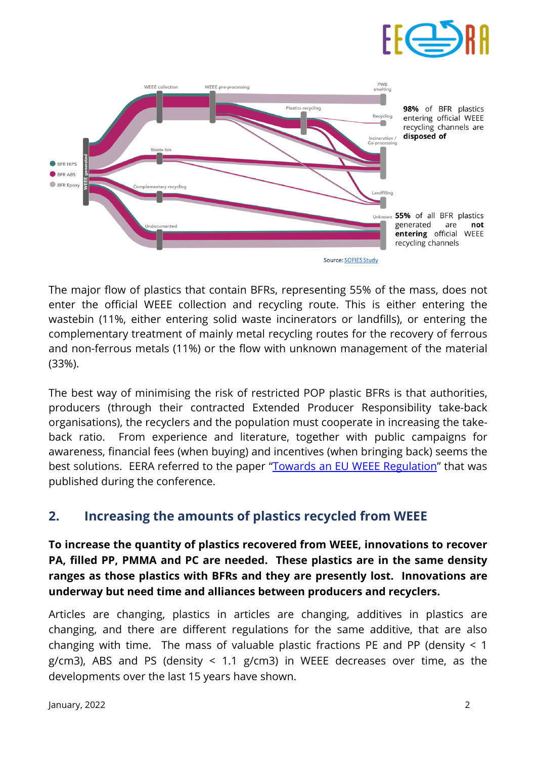

The major flow of plastics that contain BFRs, representing 55% of the mass, does not enter the official WEEE collection and recycling route. This is either entering the wastebin (11%, either entering solid waste incinerators or landfills), or entering the complementary treatment of mainly metal recycling routes for the recovery of ferrous and non-ferrous metals (11%) or the flow with unknown management of the material (33%).

The best way of minimising the risk of restricted POP plastic BFRs is that authorities, producers (through their contracted Extended Producer Responsibility take-back organisations), the recyclers and the population must cooperate in increasing the takeback ratio. From experience and literature, together with public campaigns for awareness, financial fees (when buying) and incentives (when bringing back) seems the best solutions. EERA referred to the paper ["Towards an EU WEEE Regulation"](https://drive.google.com/file/d/1q76WtjuJRl-EAC8RYpPGTRQjUz6moLRZ/view?usp=sharing) that was published during the conference.

# **2. Increasing the amounts of plastics recycled from WEEE**

**To increase the quantity of plastics recovered from WEEE, innovations to recover PA, filled PP, PMMA and PC are needed. These plastics are in the same density ranges as those plastics with BFRs and they are presently lost. Innovations are underway but need time and alliances between producers and recyclers.**

Articles are changing, plastics in articles are changing, additives in plastics are changing, and there are different regulations for the same additive, that are also changing with time. The mass of valuable plastic fractions PE and PP (density < 1 g/cm3), ABS and PS (density  $\leq$  1.1 g/cm3) in WEEE decreases over time, as the developments over the last 15 years have shown.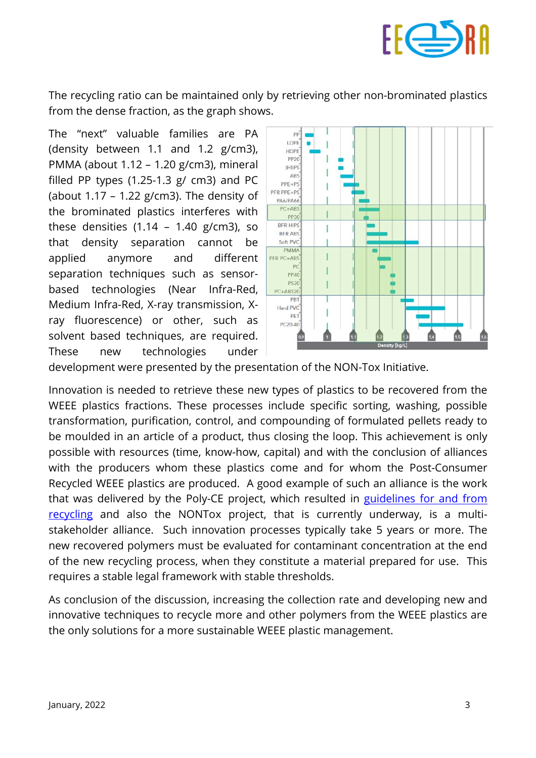

The recycling ratio can be maintained only by retrieving other non-brominated plastics from the dense fraction, as the graph shows.

The "next" valuable families are PA (density between 1.1 and 1.2 g/cm3), PMMA (about 1.12 – 1.20 g/cm3), mineral filled PP types  $(1.25-1.3 \text{ g/cm})$  and PC (about  $1.17 - 1.22$  g/cm3). The density of the brominated plastics interferes with these densities  $(1.14 - 1.40 \text{ g/cm3})$ , so that density separation cannot be applied anymore and different separation techniques such as sensorbased technologies (Near Infra-Red, Medium Infra-Red, X-ray transmission, Xray fluorescence) or other, such as solvent based techniques, are required. These new technologies under



development were presented by the presentation of the NON-Tox Initiative.

Innovation is needed to retrieve these new types of plastics to be recovered from the WEEE plastics fractions. These processes include specific sorting, washing, possible transformation, purification, control, and compounding of formulated pellets ready to be moulded in an article of a product, thus closing the loop. This achievement is only possible with resources (time, know-how, capital) and with the conclusion of alliances with the producers whom these plastics come and for whom the Post-Consumer Recycled WEEE plastics are produced. A good example of such an alliance is the work that was delivered by the Poly-CE project, which resulted in guidelines for and from [recycling](https://www.polyce-project.eu/wp-content/uploads/2021/04/PolyCE-E-book-Circular-Design-Guidelines-2.pdf) and also the NONTox project, that is currently underway, is a multistakeholder alliance. Such innovation processes typically take 5 years or more. The new recovered polymers must be evaluated for contaminant concentration at the end of the new recycling process, when they constitute a material prepared for use. This requires a stable legal framework with stable thresholds.

As conclusion of the discussion, increasing the collection rate and developing new and innovative techniques to recycle more and other polymers from the WEEE plastics are the only solutions for a more sustainable WEEE plastic management.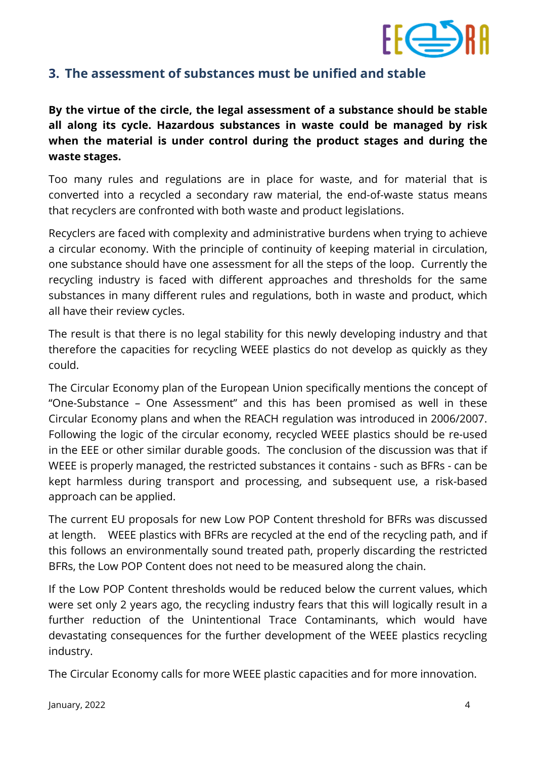

# **3. The assessment of substances must be unified and stable**

**By the virtue of the circle, the legal assessment of a substance should be stable all along its cycle. Hazardous substances in waste could be managed by risk when the material is under control during the product stages and during the waste stages.**

Too many rules and regulations are in place for waste, and for material that is converted into a recycled a secondary raw material, the end-of-waste status means that recyclers are confronted with both waste and product legislations.

Recyclers are faced with complexity and administrative burdens when trying to achieve a circular economy. With the principle of continuity of keeping material in circulation, one substance should have one assessment for all the steps of the loop. Currently the recycling industry is faced with different approaches and thresholds for the same substances in many different rules and regulations, both in waste and product, which all have their review cycles.

The result is that there is no legal stability for this newly developing industry and that therefore the capacities for recycling WEEE plastics do not develop as quickly as they could.

The Circular Economy plan of the European Union specifically mentions the concept of "One-Substance – One Assessment" and this has been promised as well in these Circular Economy plans and when the REACH regulation was introduced in 2006/2007. Following the logic of the circular economy, recycled WEEE plastics should be re-used in the EEE or other similar durable goods. The conclusion of the discussion was that if WEEE is properly managed, the restricted substances it contains - such as BFRs - can be kept harmless during transport and processing, and subsequent use, a risk-based approach can be applied.

The current EU proposals for new Low POP Content threshold for BFRs was discussed at length. WEEE plastics with BFRs are recycled at the end of the recycling path, and if this follows an environmentally sound treated path, properly discarding the restricted BFRs, the Low POP Content does not need to be measured along the chain.

If the Low POP Content thresholds would be reduced below the current values, which were set only 2 years ago, the recycling industry fears that this will logically result in a further reduction of the Unintentional Trace Contaminants, which would have devastating consequences for the further development of the WEEE plastics recycling industry.

The Circular Economy calls for more WEEE plastic capacities and for more innovation.